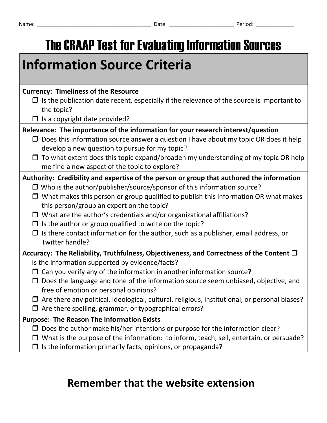The CRAAP Test for Evaluating Information Sources

| <b>Currency: Timeliness of the Resource</b>                                                                                                   |
|-----------------------------------------------------------------------------------------------------------------------------------------------|
| $\Box$ Is the publication date recent, especially if the relevance of the source is important to<br>the topic?                                |
| $\Box$ is a copyright date provided?                                                                                                          |
| Relevance: The importance of the information for your research interest/question                                                              |
| Does this information source answer a question I have about my topic OR does it help<br>⊔<br>develop a new question to pursue for my topic?   |
| To what extent does this topic expand/broaden my understanding of my topic OR help<br>$\Box$<br>me find a new aspect of the topic to explore? |
| Authority: Credibility and expertise of the person or group that authored the information                                                     |
| $\Box$ Who is the author/publisher/source/sponsor of this information source?                                                                 |
| What makes this person or group qualified to publish this information OR what makes<br>⊔<br>this person/group an expert on the topic?         |
| What are the author's credentials and/or organizational affiliations?<br>$\Box$                                                               |
| $\Box$ lethe quther or group qualified to write on the topic?                                                                                 |

 $\Box$  is the author or group qualified to write on the topic?  $\Box$  Is there contact information for the author, such as a publisher, email address, or Twitter handle?

## **Accuracy: The Reliability, Truthfulness, Objectiveness, and Correctness of the Content**  Is the information supported by evidence/facts?

- $\Box$  Can you verify any of the information in another information source?
- $\Box$  Does the language and tone of the information source seem unbiased, objective, and free of emotion or personal opinions?
- $\Box$  Are there any political, ideological, cultural, religious, institutional, or personal biases?
- $\Box$  Are there spelling, grammar, or typographical errors?

**Information Source Criteria** 

## **Purpose: The Reason The Information Exists**

- $\square$  Does the author make his/her intentions or purpose for the information clear?
- $\Box$  What is the purpose of the information: to inform, teach, sell, entertain, or persuade?
- $\Box$  Is the information primarily facts, opinions, or propaganda?

## **Remember that the website extension**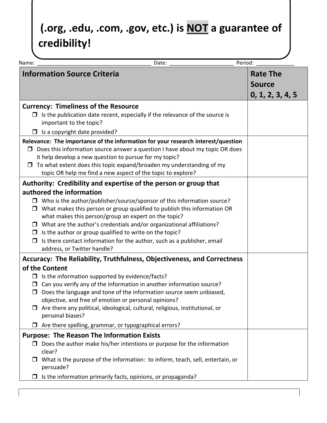## **(.org, .edu, .com, .gov, etc.) is NOT a guarantee of credibility!**

| Period:<br>Date:<br>Name:                                                                                                                                                                                                                                                                                                                                                     |                  |
|-------------------------------------------------------------------------------------------------------------------------------------------------------------------------------------------------------------------------------------------------------------------------------------------------------------------------------------------------------------------------------|------------------|
| <b>Information Source Criteria</b>                                                                                                                                                                                                                                                                                                                                            | <b>Rate The</b>  |
|                                                                                                                                                                                                                                                                                                                                                                               | <b>Source</b>    |
|                                                                                                                                                                                                                                                                                                                                                                               | 0, 1, 2, 3, 4, 5 |
| <b>Currency: Timeliness of the Resource</b>                                                                                                                                                                                                                                                                                                                                   |                  |
| $\Box$ Is the publication date recent, especially if the relevance of the source is<br>important to the topic?                                                                                                                                                                                                                                                                |                  |
| Is a copyright date provided?                                                                                                                                                                                                                                                                                                                                                 |                  |
| Relevance: The importance of the information for your research interest/question<br>$\Box$ Does this information source answer a question I have about my topic OR does<br>it help develop a new question to pursue for my topic?<br>To what extent does this topic expand/broaden my understanding of my<br>□<br>topic OR help me find a new aspect of the topic to explore? |                  |
| Authority: Credibility and expertise of the person or group that                                                                                                                                                                                                                                                                                                              |                  |
| authored the information                                                                                                                                                                                                                                                                                                                                                      |                  |
| $\Box$ Who is the author/publisher/source/sponsor of this information source?<br>$\Box$ What makes this person or group qualified to publish this information OR                                                                                                                                                                                                              |                  |
| what makes this person/group an expert on the topic?                                                                                                                                                                                                                                                                                                                          |                  |
| $\Box$ What are the author's credentials and/or organizational affiliations?                                                                                                                                                                                                                                                                                                  |                  |
| Is the author or group qualified to write on the topic?                                                                                                                                                                                                                                                                                                                       |                  |
| Is there contact information for the author, such as a publisher, email                                                                                                                                                                                                                                                                                                       |                  |
| address, or Twitter handle?                                                                                                                                                                                                                                                                                                                                                   |                  |
| Accuracy: The Reliability, Truthfulness, Objectiveness, and Correctness                                                                                                                                                                                                                                                                                                       |                  |
| of the Content                                                                                                                                                                                                                                                                                                                                                                |                  |
| $\Box$ Is the information supported by evidence/facts?                                                                                                                                                                                                                                                                                                                        |                  |
| Can you verify any of the information in another information source?<br>□<br>Does the language and tone of the information source seem unbiased,<br>□                                                                                                                                                                                                                         |                  |
| objective, and free of emotion or personal opinions?                                                                                                                                                                                                                                                                                                                          |                  |
| Are there any political, ideological, cultural, religious, institutional, or                                                                                                                                                                                                                                                                                                  |                  |
| personal biases?                                                                                                                                                                                                                                                                                                                                                              |                  |
| Are there spelling, grammar, or typographical errors?                                                                                                                                                                                                                                                                                                                         |                  |
| <b>Purpose: The Reason The Information Exists</b>                                                                                                                                                                                                                                                                                                                             |                  |
| Does the author make his/her intentions or purpose for the information                                                                                                                                                                                                                                                                                                        |                  |
| clear?                                                                                                                                                                                                                                                                                                                                                                        |                  |
| What is the purpose of the information: to inform, teach, sell, entertain, or<br>persuade?                                                                                                                                                                                                                                                                                    |                  |
| Is the information primarily facts, opinions, or propaganda?                                                                                                                                                                                                                                                                                                                  |                  |